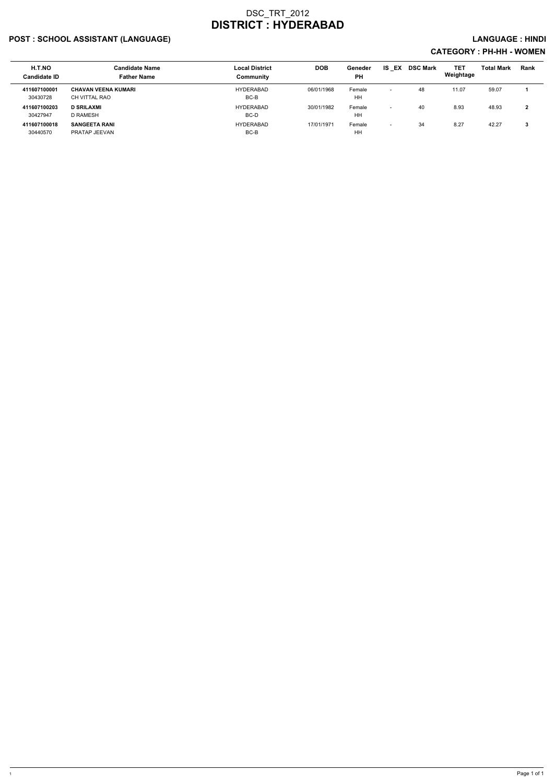## POST : SCHOOL ASSISTANT (LANGUAGE) And the set of the set of the set of the set of the set of the set of the set of the set of the set of the set of the set of the set of the set of the set of the set of the set of the set

| H.T.NO<br><b>Candidate ID</b> | <b>Candidate Name</b><br><b>Father Name</b> | <b>Local District</b><br>Community | <b>DOB</b> | Geneder<br><b>PH</b> | IS.<br>EX                | <b>DSC Mark</b> | <b>TET</b><br>Weightage | <b>Total Mark</b> | <b>Rank</b> |
|-------------------------------|---------------------------------------------|------------------------------------|------------|----------------------|--------------------------|-----------------|-------------------------|-------------------|-------------|
| 411607100001<br>30430728      | <b>CHAVAN VEENA KUMARI</b><br>CH VITTAL RAO | HYDERABAD<br>BC-B                  | 06/01/1968 | Female<br>HH         | $\overline{\phantom{0}}$ | 48              | 11.07                   | 59.07             |             |
| 411607100203<br>30427947      | <b>D SRILAXMI</b><br>D RAMESH               | <b>HYDERABAD</b><br>BC-D           | 30/01/1982 | Female<br>HH         | $\overline{\phantom{0}}$ | 40              | 8.93                    | 48.93             | າ           |
| 411607100018<br>30440570      | <b>SANGEETA RANI</b><br>PRATAP JEEVAN       | HYDERABAD<br>BC-B                  | 17/01/1971 | Female<br>HH         | $\overline{\phantom{0}}$ | 34              | 8.27                    | 42.27             | 3           |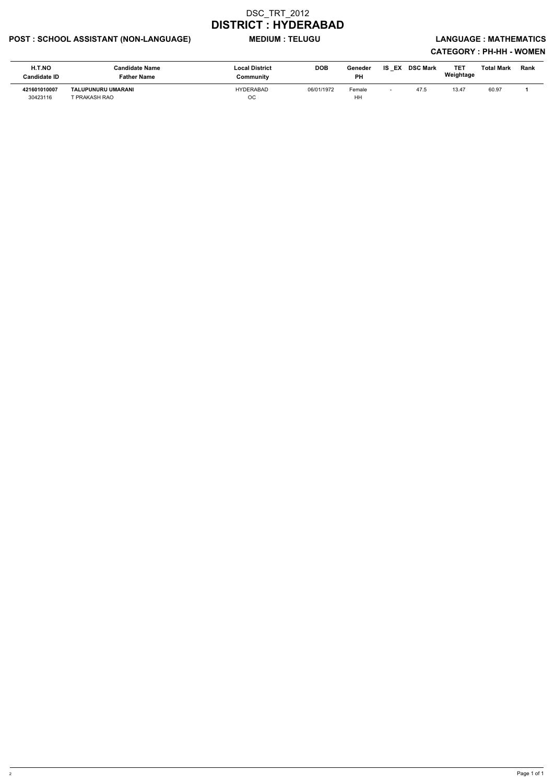## POST : SCHOOL ASSISTANT (NON-LANGUAGE) MEDIUM : TELUGU LANGUAGE : MATHEMATICS

| H.T.NO<br>Candidate ID   | Candidate Name<br><b>Father Name</b>       | <b>Local District</b><br>Community | <b>DOB</b> | Geneder<br><b>PH</b> | IS<br>EX | <b>DSC Mark</b> | TET<br>Weightage | Total Mark | Rank |
|--------------------------|--------------------------------------------|------------------------------------|------------|----------------------|----------|-----------------|------------------|------------|------|
| 421601010007<br>30423116 | <b>TALUPUNURU UMARANI</b><br>T PRAKASH RAO | <b>HYDERABAD</b><br>ОC             | 06/01/1972 | Female<br>HH         |          | 47.5            | 13.47            | 60.97      |      |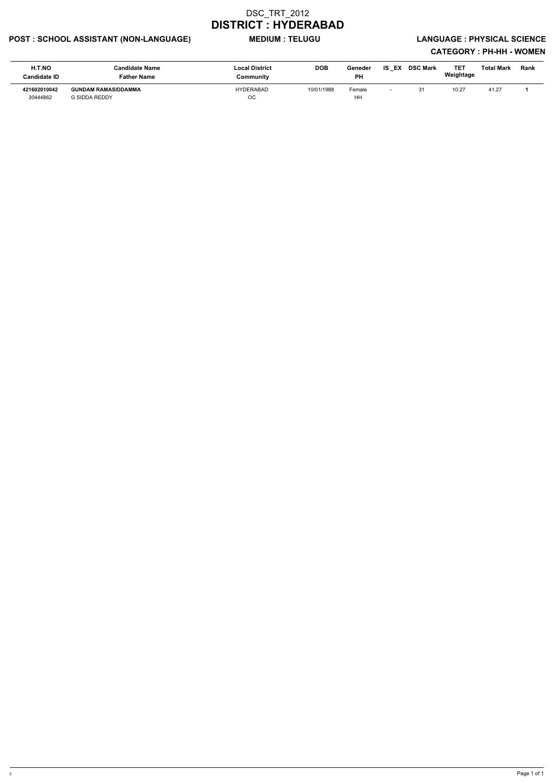## POST : SCHOOL ASSISTANT (NON-LANGUAGE) MEDIUM : TELUGU LANGUAGE : PHYSICAL SCIENCE

| H.T.NO<br><b>Candidate ID</b> | <b>Candidate Name</b><br><b>Father Name</b> | <b>Local District</b><br>Community | <b>DOB</b> | Geneder<br><b>PH</b> | EX<br>IS.                | <b>DSC Mark</b> | TE <sub>1</sub><br>Weightage | <b>Total Mark</b> | Rank |
|-------------------------------|---------------------------------------------|------------------------------------|------------|----------------------|--------------------------|-----------------|------------------------------|-------------------|------|
| 421602010042<br>30444862      | <b>GUNDAM RAMASIDDAMMA</b><br>G SIDDA REDDY | HYDERABAD<br>ОC                    | 10/01/1988 | Female<br>HH         | $\overline{\phantom{0}}$ |                 | 10.27                        | 41.27             |      |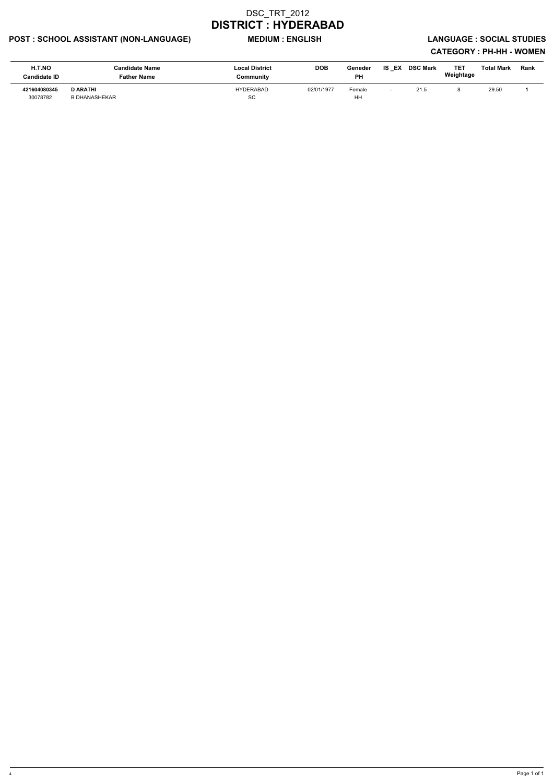## POST : SCHOOL ASSISTANT (NON-LANGUAGE) MEDIUM : ENGLISH LANGUAGE : SOCIAL STUDIES

| H.T.NO<br>Candidate ID   | <b>Candidate Name</b><br><b>Father Name</b> | <b>Local District</b><br>Community | <b>DOB</b> | Geneder<br>PH | <b>IS EX</b>             | <b>DSC Mark</b> | TE1<br>Weightage | Total Mark | <b>Rank</b> |
|--------------------------|---------------------------------------------|------------------------------------|------------|---------------|--------------------------|-----------------|------------------|------------|-------------|
| 421604080345<br>30078782 | <b>D ARATHI</b><br><b>B DHANASHEKAR</b>     | HYDERABAD<br>SC                    | 02/01/1977 | Female<br>HH  | $\overline{\phantom{0}}$ | 21.5            |                  | 29.50      |             |